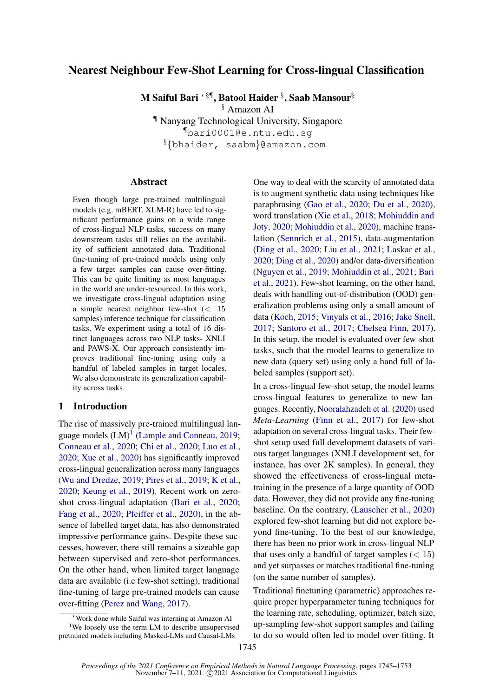# <span id="page-0-0"></span>Nearest Neighbour Few-Shot Learning for Cross-lingual Classification

M Saiful Bari \* $\S$ ¶, Batool Haider  $\S$ , Saab Mansour $\S$ 

§ Amazon AI

¶ Nanyang Technological University, Singapore ¶bari0001@e.ntu.edu.sg §{bhaider, saabm}@amazon.com

### Abstract

Even though large pre-trained multilingual models (e.g. mBERT, XLM-R) have led to significant performance gains on a wide range of cross-lingual NLP tasks, success on many downstream tasks still relies on the availability of sufficient annotated data. Traditional fine-tuning of pre-trained models using only a few target samples can cause over-fitting. This can be quite limiting as most languages in the world are under-resourced. In this work, we investigate cross-lingual adaptation using a simple nearest neighbor few-shot (< 15 samples) inference technique for classification tasks. We experiment using a total of 16 distinct languages across two NLP tasks- XNLI and PAWS-X. Our approach consistently improves traditional fine-tuning using only a handful of labeled samples in target locales. We also demonstrate its generalization capability across tasks.

## 1 Introduction

The rise of massively pre-trained multilingual language models  $(LM)^1$  [\(Lample and Conneau,](#page-4-0) [2019;](#page-4-0) [Conneau et al.,](#page-4-1) [2020;](#page-4-1) [Chi et al.,](#page-4-2) [2020;](#page-4-2) [Luo et al.,](#page-5-0) [2020;](#page-5-0) [Xue et al.,](#page-5-1) [2020\)](#page-5-1) has significantly improved cross-lingual generalization across many languages [\(Wu and Dredze,](#page-5-2) [2019;](#page-5-2) [Pires et al.,](#page-5-3) [2019;](#page-5-3) [K et al.,](#page-4-3) [2020;](#page-4-3) [Keung et al.,](#page-4-4) [2019\)](#page-4-4). Recent work on zeroshot cross-lingual adaptation [\(Bari et al.,](#page-4-5) [2020;](#page-4-5) [Fang et al.,](#page-4-6) [2020;](#page-4-6) [Pfeiffer et al.,](#page-5-4) [2020\)](#page-5-4), in the absence of labelled target data, has also demonstrated impressive performance gains. Despite these successes, however, there still remains a sizeable gap between supervised and zero-shot performances. On the other hand, when limited target language data are available (i.e few-shot setting), traditional fine-tuning of large pre-trained models can cause over-fitting [\(Perez and Wang,](#page-5-5) [2017\)](#page-5-5).

One way to deal with the scarcity of annotated data is to augment synthetic data using techniques like paraphrasing [\(Gao et al.,](#page-4-7) [2020;](#page-4-7) [Du et al.,](#page-4-8) [2020\)](#page-4-8), word translation [\(Xie et al.,](#page-5-6) [2018;](#page-5-6) [Mohiuddin and](#page-5-7) [Joty,](#page-5-7) [2020;](#page-5-7) [Mohiuddin et al.,](#page-5-8) [2020\)](#page-5-8), machine translation [\(Sennrich et al.,](#page-5-9) [2015\)](#page-5-9), data-augmentation [\(Ding et al.,](#page-4-9) [2020;](#page-4-9) [Liu et al.,](#page-5-10) [2021;](#page-5-10) [Laskar et al.,](#page-4-10) [2020;](#page-4-10) [Ding et al.,](#page-4-9) [2020\)](#page-4-9) and/or data-diversification [\(Nguyen et al.,](#page-5-11) [2019;](#page-5-11) [Mohiuddin et al.,](#page-5-12) [2021;](#page-5-12) [Bari](#page-4-11) [et al.,](#page-4-11) [2021\)](#page-4-11). Few-shot learning, on the other hand, deals with handling out-of-distribution (OOD) generalization problems using only a small amount of data [\(Koch,](#page-4-12) [2015;](#page-4-12) [Vinyals et al.,](#page-5-13) [2016;](#page-5-13) [Jake Snell,](#page-4-13) [2017;](#page-4-13) [Santoro et al.,](#page-5-14) [2017;](#page-5-14) [Chelsea Finn,](#page-4-14) [2017\)](#page-4-14). In this setup, the model is evaluated over few-shot tasks, such that the model learns to generalize to new data (query set) using only a hand full of labeled samples (support set).

In a cross-lingual few-shot setup, the model learns cross-lingual features to generalize to new languages. Recently, [Nooralahzadeh et al.](#page-5-15) [\(2020\)](#page-5-15) used *Meta-Learning* [\(Finn et al.,](#page-4-15) [2017\)](#page-4-15) for few-shot adaptation on several cross-lingual tasks. Their fewshot setup used full development datasets of various target languages (XNLI development set, for instance, has over 2K samples). In general, they showed the effectiveness of cross-lingual metatraining in the presence of a large quantity of OOD data. However, they did not provide any fine-tuning baseline. On the contrary, [\(Lauscher et al.,](#page-4-16) [2020\)](#page-4-16) explored few-shot learning but did not explore beyond fine-tuning. To the best of our knowledge, there has been no prior work in cross-lingual NLP that uses only a handful of target samples  $(< 15)$ and yet surpasses or matches traditional fine-tuning (on the same number of samples).

Traditional finetuning (parametric) approaches require proper hyperparameter tuning techniques for the learning rate, scheduling, optimizer, batch size, up-sampling few-shot support samples and failing to do so would often led to model over-fitting. It

<sup>∗</sup>Work done while Saiful was interning at Amazon AI <sup>1</sup>We loosely use the term LM to describe unsupervised pretrained models including Masked-LMs and Causal-LMs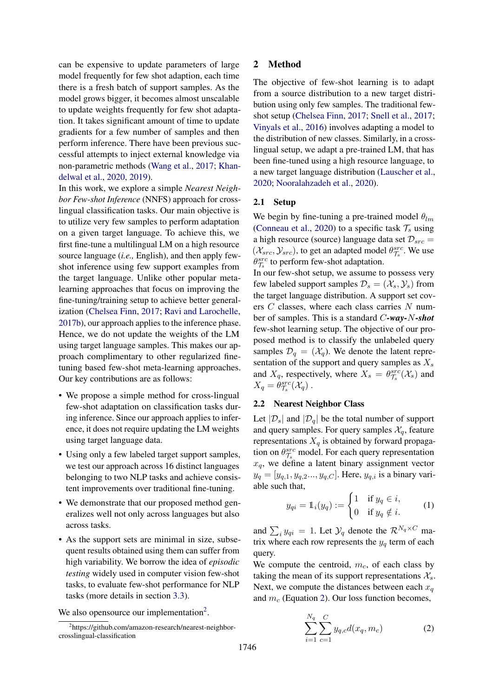can be expensive to update parameters of large model frequently for few shot adaption, each time there is a fresh batch of support samples. As the model grows bigger, it becomes almost unscalable to update weights frequently for few shot adaptation. It takes significant amount of time to update gradients for a few number of samples and then perform inference. There have been previous successful attempts to inject external knowledge via non-parametric methods [\(Wang et al.,](#page-5-16) [2017;](#page-5-16) [Khan](#page-4-17)[delwal et al.,](#page-4-17) [2020,](#page-4-17) [2019\)](#page-4-18).

In this work, we explore a simple *Nearest Neighbor Few-shot Inference* (NNFS) approach for crosslingual classification tasks. Our main objective is to utilize very few samples to perform adaptation on a given target language. To achieve this, we first fine-tune a multilingual LM on a high resource source language (*i.e.,* English), and then apply fewshot inference using few support examples from the target language. Unlike other popular metalearning approaches that focus on improving the fine-tuning/training setup to achieve better generalization [\(Chelsea Finn,](#page-4-14) [2017;](#page-4-14) [Ravi and Larochelle,](#page-5-17) [2017b\)](#page-5-17), our approach applies to the inference phase. Hence, we do not update the weights of the LM using target language samples. This makes our approach complimentary to other regularized finetuning based few-shot meta-learning approaches. Our key contributions are as follows:

- We propose a simple method for cross-lingual few-shot adaptation on classification tasks during inference. Since our approach applies to inference, it does not require updating the LM weights using target language data.
- Using only a few labeled target support samples, we test our approach across 16 distinct languages belonging to two NLP tasks and achieve consistent improvements over traditional fine-tuning.
- We demonstrate that our proposed method generalizes well not only across languages but also across tasks.
- As the support sets are minimal in size, subsequent results obtained using them can suffer from high variability. We borrow the idea of *episodic testing* widely used in computer vision few-shot tasks, to evaluate few-shot performance for NLP tasks (more details in section [3.3\)](#page-2-0).

We also opensource our implementation<sup>[2](#page-0-0)</sup>.

# 2 Method

The objective of few-shot learning is to adapt from a source distribution to a new target distribution using only few samples. The traditional fewshot setup [\(Chelsea Finn,](#page-4-14) [2017;](#page-4-14) [Snell et al.,](#page-5-18) [2017;](#page-5-18) [Vinyals et al.,](#page-5-13) [2016\)](#page-5-13) involves adapting a model to the distribution of new classes. Similarly, in a crosslingual setup, we adapt a pre-trained LM, that has been fine-tuned using a high resource language, to a new target language distribution [\(Lauscher et al.,](#page-4-16) [2020;](#page-4-16) [Nooralahzadeh et al.,](#page-5-15) [2020\)](#page-5-15).

# 2.1 Setup

We begin by fine-tuning a pre-trained model  $\theta_{lm}$ [\(Conneau et al.,](#page-4-1) [2020\)](#page-4-1) to a specific task  $\mathcal{T}_s$  using a high resource (source) language data set  $\mathcal{D}_{src} =$  $(\mathcal{X}_{src}, \mathcal{Y}_{src})$ , to get an adapted model  $\theta_{\mathcal{T}_s}^{src}$ . We use  $\theta_{\mathcal{T}_{s}}^{src}$  to perform few-shot adaptation.

In our few-shot setup, we assume to possess very few labeled support samples  $\mathcal{D}_s = (\mathcal{X}_s, \mathcal{Y}_s)$  from the target language distribution. A support set covers  $C$  classes, where each class carries  $N$  number of samples. This is a standard C*-way-*N*-shot* few-shot learning setup. The objective of our proposed method is to classify the unlabeled query samples  $\mathcal{D}_q = (\mathcal{X}_q)$ . We denote the latent representation of the support and query samples as  $X_s$ and  $X_q$ , respectively, where  $X_s = \theta_{\mathcal{T}_s}^{src}(\mathcal{X}_s)$  and  $X_q = \theta_{\mathcal{T}_s}^{src}(\mathcal{X}_q)$ .

# 2.2 Nearest Neighbor Class

Let  $|\mathcal{D}_s|$  and  $|\mathcal{D}_q|$  be the total number of support and query samples. For query samples  $\mathcal{X}_q$ , feature representations  $X_q$  is obtained by forward propagation on  $\theta_{\mathcal{T}_s}^{src}$  model. For each query representation  $x_q$ , we define a latent binary assignment vector  $y_q = [y_{q,1}, y_{q,2}, \ldots, y_{q,C}]$ . Here,  $y_{q,i}$  is a binary variable such that,

$$
y_{qi} = \mathbb{1}_i(y_q) := \begin{cases} 1 & \text{if } y_q \in i, \\ 0 & \text{if } y_q \notin i. \end{cases}
$$
 (1)

and  $\sum_i y_{qi} = 1$ . Let  $\mathcal{Y}_q$  denote the  $\mathcal{R}^{N_q \times C}$  matrix where each row represents the  $y_q$  term of each query.

<span id="page-1-0"></span>We compute the centroid,  $m_c$ , of each class by taking the mean of its support representations  $\mathcal{X}_s$ . Next, we compute the distances between each  $x_a$ and  $m_c$  (Equation [2\)](#page-1-0). Our loss function becomes,

$$
\sum_{i=1}^{N_q} \sum_{c=1}^{C} y_{q,c} d(x_q, m_c)
$$
 (2)

<sup>2</sup> https://github.com/amazon-research/nearest-neighborcrosslingual-classification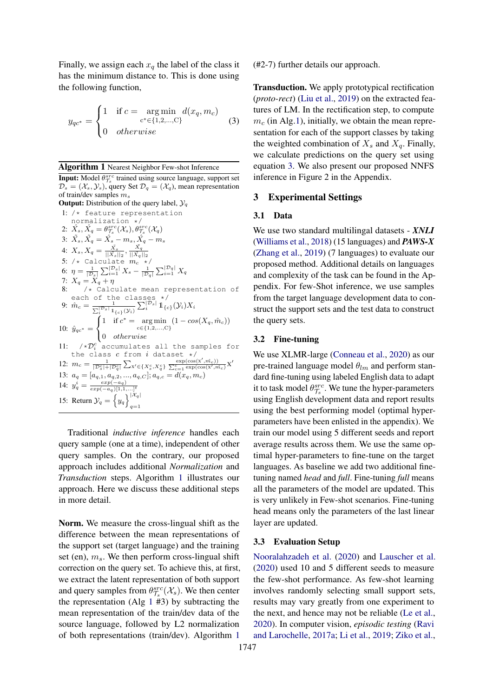<span id="page-2-2"></span>Finally, we assign each  $x_q$  the label of the class it has the minimum distance to. This is done using the following function,

$$
y_{qc^*} = \begin{cases} 1 & \text{if } c = \arg \min_{c^* \in \{1, 2, ..., C\}} d(x_q, m_c) \\ 0 & otherwise \end{cases}
$$
 (3)

<span id="page-2-1"></span>Algorithm 1 Nearest Neighbor Few-shot Inference **Input:** Model  $\theta_{\tau_s}^{src}$  trained using source language, support set  $\mathcal{D}_s = (\mathcal{X}_s, \mathcal{Y}_s)$ , query Set  $\mathcal{D}_q = (\mathcal{X}_q)$ , mean representation of train/dev samples  $m_s$ **Output:** Distribution of the query label,  $\mathcal{Y}_q$ 1: /\* feature representation

normalization \*/ 2:  $\hat{X}_s, \hat{X}_q = \theta_{\mathcal{T}_s}^{src}(\mathcal{X}_s), \theta_{\mathcal{T}_s}^{src}(\mathcal{X}_q)$ 3:  $\tilde{X_s}, \tilde{X_q} = \hat{X_s} - m_s, \hat{X_q} - m_s$ 4:  $X_s, X_q=\frac{\tilde{X_s}}{||\tilde{X_s}||_2}, \frac{\tilde{X_q}}{||\tilde{X_q}|}$  $||\tilde{X_q}||_2$ 5: /\* Calculate  $m_c$  \*/ 6:  $\eta = \frac{1}{|\mathcal{D}_s|} \sum_{i=1}^{|\mathcal{D}_s|} X_s - \frac{1}{|\mathcal{D}_q|} \sum_{i=1}^{|\mathcal{D}_q|} X_q$ 7:  $X_q = X_q + \eta$ 8: /\* Calculate mean representation of each of the classes \*/ 9:  $\hat{m}_c = \frac{1}{\sum_{i}^{\lfloor \mathcal{D}_s \rfloor} 1_{\{c\}}(\mathcal{Y}_i)} \sum_{i}^{\lfloor \mathcal{D}_s \rfloor} 1_{\{c\}}(\mathcal{Y}_i) X_i$ 10:  $\hat{y}_{qc*} =$  $\sqrt{ }$ J  $\mathcal{L}$ 1 if  $c^* = \arg \min_{c \in \{1,2,...,C\}} (1 - \cos(X_q, \hat{m}_c))$ 0 otherwise 11:  $/\star \mathcal{D}_i^c$  accumulates all the samples for the class  $c$  from  $i$  dataset  $*/$ 12:  $m_c = \frac{1}{|\mathcal{D}_s^c| + |\mathcal{D}_q^c|} \sum_{X' \in \{X_s^c, X_q^c\}} \frac{\exp(\cos(X', \hat{m_c}))}{\sum_{c=1}^c \exp(\cos(X', \hat{m_c})} X'$ 13:  $a_q = [a_{q,1}, a_{q,2}, ..., a_{q,C}]; a_{q,c} = d(x_q, m_c)$ 14:  $y_q^i = \frac{exp(-a_q)}{exp(-a_q)[1,1,\ldots]^t}$ 15: Return  $\mathcal{Y}_q = \left\{ y_q \right\}^{|\mathcal{X}_q|}$  $q=1$ 

Traditional *inductive inference* handles each query sample (one at a time), independent of other query samples. On the contrary, our proposed approach includes additional *Normalization* and *Transduction* steps. Algorithm [1](#page-2-1) illustrates our approach. Here we discuss these additional steps in more detail.

Norm. We measure the cross-lingual shift as the difference between the mean representations of the support set (target language) and the training set (en),  $m_s$ . We then perform cross-lingual shift correction on the query set. To achieve this, at first, we extract the latent representation of both support and query samples from  $\theta_{\mathcal{T}_s}^{src}(\mathcal{X}_s)$ . We then center the representation (Alg  $1 \#3$  $1 \#3$ ) by subtracting the mean representation of the train/dev data of the source language, followed by L2 normalization of both representations (train/dev). Algorithm [1](#page-2-1)

(#2-7) further details our approach.

Transduction. We apply prototypical rectification (*proto-rect*) [\(Liu et al.,](#page-5-19) [2019\)](#page-5-19) on the extracted features of LM. In the rectification step, to compute  $m_c$  (in Alg[.1\)](#page-2-1), initially, we obtain the mean representation for each of the support classes by taking the weighted combination of  $X_s$  and  $X_q$ . Finally, we calculate predictions on the query set using equation [3.](#page-2-2) We also present our proposed NNFS inference in Figure 2 in the Appendix.

## 3 Experimental Settings

### 3.1 Data

We use two standard multilingal datasets - *XNLI* [\(Williams et al.,](#page-5-20) [2018\)](#page-5-20) (15 languages) and *PAWS-X* [\(Zhang et al.,](#page-5-21) [2019\)](#page-5-21) (7 languages) to evaluate our proposed method. Additional details on languages and complexity of the task can be found in the Appendix. For few-Shot inference, we use samples from the target language development data to construct the support sets and the test data to construct the query sets.

## 3.2 Fine-tuning

We use XLMR-large [\(Conneau et al.,](#page-4-1) [2020\)](#page-4-1) as our pre-trained language model  $\theta_{lm}$  and perform standard fine-tuning using labeled English data to adapt it to task model  $\theta_{\mathcal{T}_s}^{src}$ . We tune the hyper-parameters using English development data and report results using the best performing model (optimal hyperparameters have been enlisted in the appendix). We train our model using 5 different seeds and report average results across them. We use the same optimal hyper-parameters to fine-tune on the target languages. As baseline we add two additional finetuning named *head* and *full*. Fine-tuning *full* means all the parameters of the model are updated. This is very unlikely in Few-shot scenarios. Fine-tuning head means only the parameters of the last linear layer are updated.

### <span id="page-2-0"></span>3.3 Evaluation Setup

[Nooralahzadeh et al.](#page-5-15) [\(2020\)](#page-5-15) and [Lauscher et al.](#page-4-16) [\(2020\)](#page-4-16) used 10 and 5 different seeds to measure the few-shot performance. As few-shot learning involves randomly selecting small support sets, results may vary greatly from one experiment to the next, and hence may not be reliable [\(Le et al.,](#page-4-19) [2020\)](#page-4-19). In computer vision, *episodic testing* [\(Ravi](#page-5-22) [and Larochelle,](#page-5-22) [2017a;](#page-5-22) [Li et al.,](#page-5-23) [2019;](#page-5-23) [Ziko et al.,](#page-6-0)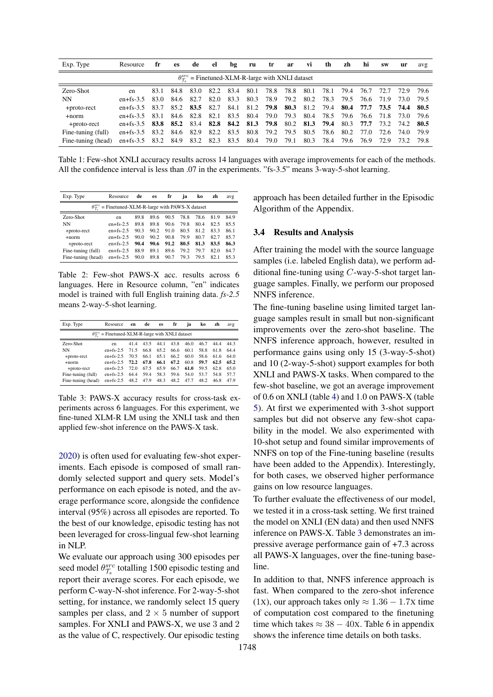| Exp. Type          | Resource                 | fr   | <b>es</b> | de        | el   | bg   | ru                  | tr        | ar                                                              | VÌ   | th   | zh   | hi             | <b>SW</b> | ur                  | avg |
|--------------------|--------------------------|------|-----------|-----------|------|------|---------------------|-----------|-----------------------------------------------------------------|------|------|------|----------------|-----------|---------------------|-----|
|                    |                          |      |           |           |      |      |                     |           | $\theta_{\tau}^{src}$ = Finetuned-XLM-R-large with XNLI dataset |      |      |      |                |           |                     |     |
| Zero-Shot          | en                       | 83.1 | 84.8      | 83.0      | 82.2 | 83.4 | -80.1               | 78.8      | 78.8                                                            | 80.1 | 78.1 | 79.4 | 76.7           |           | 72.7 72.9 79.6      |     |
| NΝ                 | $en+fs-3.5$              | 83.0 | 84.6      | 82.7      | 82.0 | 83.3 | 80.3                | 78.9      | 79.2                                                            | 80.2 | 78.3 | 79.5 | 76.6           | 71.9      | 73.0 79.5           |     |
| +proto-rect        | $en+fs-3.5$              | 83.7 |           | 85.2 83.5 | 82.7 | 84.1 |                     | 81.2 79.8 | 80.3                                                            | 81.2 | 79.4 | 80.4 |                |           | 77.7 73.5 74.4 80.5 |     |
| $+norm$            | $en+fs-3.5$              | 83.1 | 84.6      | 82.8      | 82.1 | 83.5 | 80.4                | 79.0      | 79.3                                                            | 80.4 |      |      | 78.5 79.6 76.6 | 71.8      | 73.0 79.6           |     |
| +proto-rect        | en+fs-3.5 83.8 85.2 83.4 |      |           |           |      |      | 82.8 84.2 81.3 79.8 |           | 80.2                                                            | 81.3 | 79.4 | 80.3 | 77.7           |           | 73.2 74.2 80.5      |     |
| Fine-tuning (full) | $en+fs-3.5$              | 83.2 | 84.6      | 82.9      | 82.2 | 83.5 | 80.8                | 79.2      | 79.5                                                            | 80.5 | 78.6 | 80.2 | 77.0           | 72.6      | 74.0 79.9           |     |
| Fine-tuning (head) | $en+fs-3.5$              | 83.2 | 84.9      | 83.2      | 82.3 |      | 83.5 80.4           | 79.0      | 79.1                                                            | 80.3 | 78.4 | 79.6 | 76.9           | 72.9      | 73.2 79.8           |     |

Table 1: Few-shot XNLI accuracy results across 14 languages with average improvements for each of the methods. All the confidence interval is less than 0.07 in the experiments. "fs-3.5" means 3-way-5-shot learning.

| Exp. Type          | Resource                                                          | de   | es   | fr   | ia   | ko   | zh   | avg  |
|--------------------|-------------------------------------------------------------------|------|------|------|------|------|------|------|
|                    | $\theta_{\tau}^{src}$ = Finetuned-XLM-R-large with PAWS-X dataset |      |      |      |      |      |      |      |
| Zero-Shot          | en                                                                | 89.8 | 89.6 | 90.5 | 78.8 | 78.6 | 81.9 | 84.9 |
| NN                 | $en+fs-2.5$                                                       | 89.8 | 89.8 | 90.6 | 79.8 | 80.4 | 82.5 | 85.5 |
| +proto-rect        | $en+fs-2.5$                                                       | 90.3 | 90.2 | 91.0 | 80.5 | 81.2 | 83.3 | 86.1 |
| $+norm$            | $en+fs-2.5$                                                       | 90.0 | 90.2 | 90.8 | 79.9 | 80.7 | 82.7 | 85.7 |
| +proto-rect        | $en+fs-2.5$                                                       | 90.4 | 90.6 | 91.2 | 80.5 | 81.3 | 83.5 | 86.3 |
| Fine-tuning (full) | $en+fs-2.5$                                                       | 88.9 | 89.1 | 89.6 | 79.2 | 79.7 | 82.0 | 84.7 |
| Fine-tuning (head) | $en+fs-2.5$                                                       | 90.0 | 89.8 | 90.7 | 79.3 | 79.5 | 82.1 | 85.3 |
|                    |                                                                   |      |      |      |      |      |      |      |

Table 2: Few-shot PAWS-X acc. results across 6 languages. Here in Resource column, "en" indicates model is trained with full English training data. fs-2.5 means 2-way-5-shot learning.

<span id="page-3-0"></span>

| Exp. Type                                                       | Resource     | en   | de   | es   | fr   | ja   | ko   | zh   | avg  |  |  |
|-----------------------------------------------------------------|--------------|------|------|------|------|------|------|------|------|--|--|
| $\theta_{\tau}^{src}$ = Finetuned-XLM-R-large with XNLI dataset |              |      |      |      |      |      |      |      |      |  |  |
| Zero-Shot                                                       | en           | 41.4 | 43.5 | 44.1 | 43.8 | 46.0 | 46.7 | 44.4 | 44.3 |  |  |
| NN                                                              | $en+f$ s-2.5 | 71.5 | 66.8 | 65.2 | 66.6 | 60.1 | 58.8 | 61.8 | 64.4 |  |  |
| +proto-rect                                                     | $en+fs-2.5$  | 70.5 | 66.1 | 65.1 | 66.2 | 60.0 | 58.6 | 61.6 | 64.0 |  |  |
| $+norm$                                                         | $en+f$ s-2.5 | 72.2 | 67.8 | 66.1 | 67.2 | 60.8 | 59.7 | 62.5 | 65.2 |  |  |
| +proto-rect                                                     | $en+fs-2.5$  | 72.0 | 67.5 | 65.9 | 66.7 | 61.0 | 59.5 | 62.8 | 65.0 |  |  |
| Fine-tuning (full)                                              | $en+fs-2.5$  | 64.4 | 59.4 | 58.3 | 59.6 | 54.0 | 53.7 | 54.8 | 57.7 |  |  |
| Fine-tuning (head)                                              | $en+fs-2.5$  | 48.2 | 47.9 | 48.3 | 48.2 | 47.7 | 48.2 | 46.8 | 47.9 |  |  |

Table 3: PAWS-X accuracy results for cross-task experiments across 6 languages. For this experiment, we fine-tuned XLM-R LM using the XNLI task and then applied few-shot inference on the PAWS-X task.

2020) is often used for evaluating few-shot experiments. Each episode is composed of small randomly selected support and query sets. Model's performance on each episode is noted, and the average performance score, alongside the confidence interval (95%) across all episodes are reported. To the best of our knowledge, episodic testing has not been leveraged for cross-lingual few-shot learning in NLP.

We evaluate our approach using 300 episodes per seed model  $\theta_{\tau}^{src}$  totalling 1500 episodic testing and report their average scores. For each episode, we perform C-way-N-shot inference. For 2-way-5-shot setting, for instance, we randomly select 15 query samples per class, and  $2 \times 5$  number of support samples. For XNLI and PAWS-X, we use 3 and 2 as the value of C, respectively. Our episodic testing approach has been detailed further in the Episodic Algorithm of the Appendix.

#### $3.4$ **Results and Analysis**

After training the model with the source language samples (i.e. labeled English data), we perform additional fine-tuning using  $C$ -way-5-shot target language samples. Finally, we perform our proposed NNFS inference.

The fine-tuning baseline using limited target language samples result in small but non-significant improvements over the zero-shot baseline. The NNFS inference approach, however, resulted in performance gains using only 15 (3-way-5-shot) and 10 (2-way-5-shot) support examples for both XNLI and PAWS-X tasks. When compared to the few-shot baseline, we got an average improvement of 0.6 on XNLI (table 4) and 1.0 on PAWS-X (table 5). At first we experimented with 3-shot support samples but did not observe any few-shot capability in the model. We also experimented with 10-shot setup and found similar improvements of NNFS on top of the Fine-tuning baseline (results have been added to the Appendix). Interestingly, for both cases, we observed higher performance gains on low resource languages.

To further evaluate the effectiveness of our model. we tested it in a cross-task setting. We first trained the model on XNLI (EN data) and then used NNFS inference on PAWS-X. Table 3 demonstrates an impressive average performance gain of +7.3 across all PAWS-X languages, over the fine-tuning baseline.

In addition to that, NNFS inference approach is fast. When compared to the zero-shot inference  $(1x)$ , our approach takes only  $\approx 1.36 - 1.7x$  time of computation cost compared to the finetuning time which takes  $\approx 38 - 40x$ . Table 6 in appendix shows the inference time details on both tasks.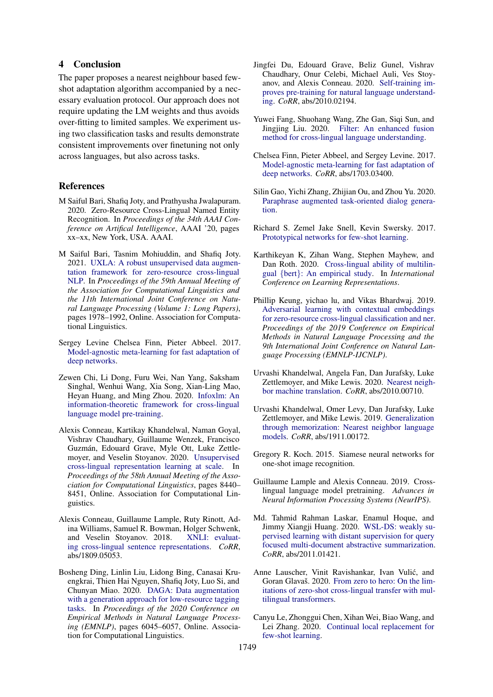# 4 Conclusion

The paper proposes a nearest neighbour based fewshot adaptation algorithm accompanied by a necessary evaluation protocol. Our approach does not require updating the LM weights and thus avoids over-fitting to limited samples. We experiment using two classification tasks and results demonstrate consistent improvements over finetuning not only across languages, but also across tasks.

## References

- <span id="page-4-5"></span>M Saiful Bari, Shafiq Joty, and Prathyusha Jwalapuram. 2020. Zero-Resource Cross-Lingual Named Entity Recognition. In *Proceedings of the 34th AAAI Conference on Artifical Intelligence*, AAAI '20, pages xx–xx, New York, USA. AAAI.
- <span id="page-4-11"></span>M Saiful Bari, Tasnim Mohiuddin, and Shafiq Joty. 2021. [UXLA: A robust unsupervised data augmen](https://doi.org/10.18653/v1/2021.acl-long.154)[tation framework for zero-resource cross-lingual](https://doi.org/10.18653/v1/2021.acl-long.154) [NLP.](https://doi.org/10.18653/v1/2021.acl-long.154) In *Proceedings of the 59th Annual Meeting of the Association for Computational Linguistics and the 11th International Joint Conference on Natural Language Processing (Volume 1: Long Papers)*, pages 1978–1992, Online. Association for Computational Linguistics.
- <span id="page-4-14"></span>Sergey Levine Chelsea Finn, Pieter Abbeel. 2017. [Model-agnostic meta-learning for fast adaptation of](http://arxiv.org/abs/1703.03400) [deep networks.](http://arxiv.org/abs/1703.03400)
- <span id="page-4-2"></span>Zewen Chi, Li Dong, Furu Wei, Nan Yang, Saksham Singhal, Wenhui Wang, Xia Song, Xian-Ling Mao, Heyan Huang, and Ming Zhou. 2020. [Infoxlm: An](http://arxiv.org/abs/2007.07834) [information-theoretic framework for cross-lingual](http://arxiv.org/abs/2007.07834) [language model pre-training.](http://arxiv.org/abs/2007.07834)
- <span id="page-4-1"></span>Alexis Conneau, Kartikay Khandelwal, Naman Goyal, Vishrav Chaudhary, Guillaume Wenzek, Francisco Guzmán, Edouard Grave, Myle Ott, Luke Zettlemoyer, and Veselin Stoyanov. 2020. [Unsupervised](https://doi.org/10.18653/v1/2020.acl-main.747) [cross-lingual representation learning at scale.](https://doi.org/10.18653/v1/2020.acl-main.747) In *Proceedings of the 58th Annual Meeting of the Association for Computational Linguistics*, pages 8440– 8451, Online. Association for Computational Linguistics.
- <span id="page-4-20"></span>Alexis Conneau, Guillaume Lample, Ruty Rinott, Adina Williams, Samuel R. Bowman, Holger Schwenk, and Veselin Stovanov. 2018. XNLI: evaluatand Veselin Stoyanov. 2018. [ing cross-lingual sentence representations.](http://arxiv.org/abs/1809.05053) *CoRR*, abs/1809.05053.
- <span id="page-4-9"></span>Bosheng Ding, Linlin Liu, Lidong Bing, Canasai Kruengkrai, Thien Hai Nguyen, Shafiq Joty, Luo Si, and Chunyan Miao. 2020. [DAGA: Data augmentation](https://doi.org/10.18653/v1/2020.emnlp-main.488) [with a generation approach for low-resource tagging](https://doi.org/10.18653/v1/2020.emnlp-main.488) [tasks.](https://doi.org/10.18653/v1/2020.emnlp-main.488) In *Proceedings of the 2020 Conference on Empirical Methods in Natural Language Processing (EMNLP)*, pages 6045–6057, Online. Association for Computational Linguistics.
- <span id="page-4-8"></span>Jingfei Du, Edouard Grave, Beliz Gunel, Vishrav Chaudhary, Onur Celebi, Michael Auli, Ves Stoyanov, and Alexis Conneau. 2020. [Self-training im](http://arxiv.org/abs/2010.02194)[proves pre-training for natural language understand](http://arxiv.org/abs/2010.02194)[ing.](http://arxiv.org/abs/2010.02194) *CoRR*, abs/2010.02194.
- <span id="page-4-6"></span>Yuwei Fang, Shuohang Wang, Zhe Gan, Siqi Sun, and Jingjing Liu. 2020. [Filter: An enhanced fusion](http://arxiv.org/abs/2009.05166) [method for cross-lingual language understanding.](http://arxiv.org/abs/2009.05166)
- <span id="page-4-15"></span>Chelsea Finn, Pieter Abbeel, and Sergey Levine. 2017. [Model-agnostic meta-learning for fast adaptation of](http://arxiv.org/abs/1703.03400) [deep networks.](http://arxiv.org/abs/1703.03400) *CoRR*, abs/1703.03400.
- <span id="page-4-7"></span>Silin Gao, Yichi Zhang, Zhijian Ou, and Zhou Yu. 2020. [Paraphrase augmented task-oriented dialog genera](http://arxiv.org/abs/2004.07462)[tion.](http://arxiv.org/abs/2004.07462)
- <span id="page-4-13"></span>Richard S. Zemel Jake Snell, Kevin Swersky. 2017. [Prototypical networks for few-shot learning.](http://arxiv.org/abs/1703.05175)
- <span id="page-4-3"></span>Karthikeyan K, Zihan Wang, Stephen Mayhew, and Dan Roth. 2020. [Cross-lingual ability of multilin](https://openreview.net/forum?id=HJeT3yrtDr)gual {bert}[: An empirical study.](https://openreview.net/forum?id=HJeT3yrtDr) In *International Conference on Learning Representations*.
- <span id="page-4-4"></span>Phillip Keung, yichao lu, and Vikas Bhardwaj. 2019. [Adversarial learning with contextual embeddings](https://doi.org/10.18653/v1/d19-1138) [for zero-resource cross-lingual classification and ner.](https://doi.org/10.18653/v1/d19-1138) *Proceedings of the 2019 Conference on Empirical Methods in Natural Language Processing and the 9th International Joint Conference on Natural Language Processing (EMNLP-IJCNLP)*.
- <span id="page-4-17"></span>Urvashi Khandelwal, Angela Fan, Dan Jurafsky, Luke Zettlemoyer, and Mike Lewis. 2020. [Nearest neigh](http://arxiv.org/abs/2010.00710)[bor machine translation.](http://arxiv.org/abs/2010.00710) *CoRR*, abs/2010.00710.
- <span id="page-4-18"></span>Urvashi Khandelwal, Omer Levy, Dan Jurafsky, Luke Zettlemoyer, and Mike Lewis. 2019. [Generalization](http://arxiv.org/abs/1911.00172) [through memorization: Nearest neighbor language](http://arxiv.org/abs/1911.00172) [models.](http://arxiv.org/abs/1911.00172) *CoRR*, abs/1911.00172.
- <span id="page-4-12"></span>Gregory R. Koch. 2015. Siamese neural networks for one-shot image recognition.
- <span id="page-4-0"></span>Guillaume Lample and Alexis Conneau. 2019. Crosslingual language model pretraining. *Advances in Neural Information Processing Systems (NeurIPS)*.
- <span id="page-4-10"></span>Md. Tahmid Rahman Laskar, Enamul Hoque, and Jimmy Xiangji Huang. 2020. [WSL-DS: weakly su](http://arxiv.org/abs/2011.01421)[pervised learning with distant supervision for query](http://arxiv.org/abs/2011.01421) [focused multi-document abstractive summarization.](http://arxiv.org/abs/2011.01421) *CoRR*, abs/2011.01421.
- <span id="page-4-16"></span>Anne Lauscher, Vinit Ravishankar, Ivan Vulic, and ´ Goran Glavaš. 2020. [From zero to hero: On the lim](http://arxiv.org/abs/2005.00633)[itations of zero-shot cross-lingual transfer with mul](http://arxiv.org/abs/2005.00633)[tilingual transformers.](http://arxiv.org/abs/2005.00633)
- <span id="page-4-19"></span>Canyu Le, Zhonggui Chen, Xihan Wei, Biao Wang, and Lei Zhang. 2020. [Continual local replacement for](http://arxiv.org/abs/2001.08366) [few-shot learning.](http://arxiv.org/abs/2001.08366)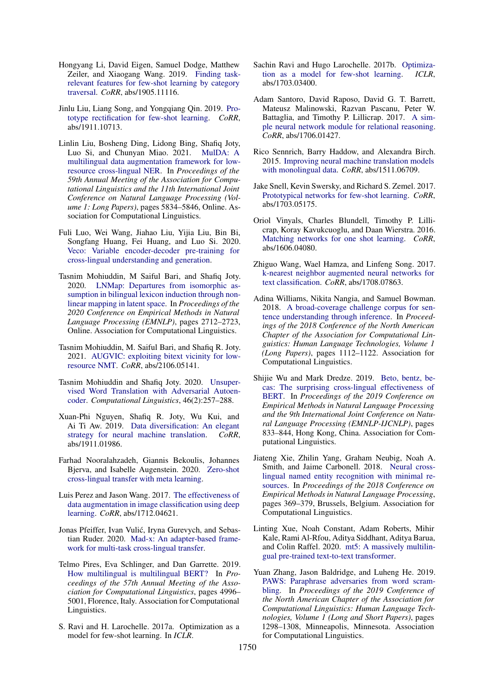- <span id="page-5-23"></span>Hongyang Li, David Eigen, Samuel Dodge, Matthew Zeiler, and Xiaogang Wang. 2019. [Finding task](http://arxiv.org/abs/1905.11116)[relevant features for few-shot learning by category](http://arxiv.org/abs/1905.11116) [traversal.](http://arxiv.org/abs/1905.11116) *CoRR*, abs/1905.11116.
- <span id="page-5-19"></span>Jinlu Liu, Liang Song, and Yongqiang Qin. 2019. [Pro](http://arxiv.org/abs/1911.10713)[totype rectification for few-shot learning.](http://arxiv.org/abs/1911.10713) *CoRR*, abs/1911.10713.
- <span id="page-5-10"></span>Linlin Liu, Bosheng Ding, Lidong Bing, Shafiq Joty, Luo Si, and Chunyan Miao. 2021. [MulDA: A](https://doi.org/10.18653/v1/2021.acl-long.453) [multilingual data augmentation framework for low](https://doi.org/10.18653/v1/2021.acl-long.453)[resource cross-lingual NER.](https://doi.org/10.18653/v1/2021.acl-long.453) In *Proceedings of the 59th Annual Meeting of the Association for Computational Linguistics and the 11th International Joint Conference on Natural Language Processing (Volume 1: Long Papers)*, pages 5834–5846, Online. Association for Computational Linguistics.
- <span id="page-5-0"></span>Fuli Luo, Wei Wang, Jiahao Liu, Yijia Liu, Bin Bi, Songfang Huang, Fei Huang, and Luo Si. 2020. [Veco: Variable encoder-decoder pre-training for](http://arxiv.org/abs/2010.16046) [cross-lingual understanding and generation.](http://arxiv.org/abs/2010.16046)
- <span id="page-5-8"></span>Tasnim Mohiuddin, M Saiful Bari, and Shafiq Joty. 2020. [LNMap: Departures from isomorphic as](https://www.aclweb.org/anthology/2020.emnlp-main.215)[sumption in bilingual lexicon induction through non](https://www.aclweb.org/anthology/2020.emnlp-main.215)[linear mapping in latent space.](https://www.aclweb.org/anthology/2020.emnlp-main.215) In *Proceedings of the 2020 Conference on Empirical Methods in Natural Language Processing (EMNLP)*, pages 2712–2723, Online. Association for Computational Linguistics.
- <span id="page-5-12"></span>Tasnim Mohiuddin, M. Saiful Bari, and Shafiq R. Joty. 2021. [AUGVIC: exploiting bitext vicinity for low](http://arxiv.org/abs/2106.05141)[resource NMT.](http://arxiv.org/abs/2106.05141) *CoRR*, abs/2106.05141.
- <span id="page-5-7"></span>Tasnim Mohiuddin and Shafiq Joty. 2020. [Unsuper](https://doi.org/10.1162/coli_a_00374)[vised Word Translation with Adversarial Autoen](https://doi.org/10.1162/coli_a_00374)[coder.](https://doi.org/10.1162/coli_a_00374) *Computational Linguistics*, 46(2):257–288.
- <span id="page-5-11"></span>Xuan-Phi Nguyen, Shafiq R. Joty, Wu Kui, and Ai Ti Aw. 2019. [Data diversification: An elegant](http://arxiv.org/abs/1911.01986) [strategy for neural machine translation.](http://arxiv.org/abs/1911.01986) *CoRR*, abs/1911.01986.
- <span id="page-5-15"></span>Farhad Nooralahzadeh, Giannis Bekoulis, Johannes Bjerva, and Isabelle Augenstein. 2020. [Zero-shot](http://arxiv.org/abs/2003.02739) [cross-lingual transfer with meta learning.](http://arxiv.org/abs/2003.02739)
- <span id="page-5-5"></span>Luis Perez and Jason Wang. 2017. [The effectiveness of](http://arxiv.org/abs/1712.04621) [data augmentation in image classification using deep](http://arxiv.org/abs/1712.04621) [learning.](http://arxiv.org/abs/1712.04621) *CoRR*, abs/1712.04621.
- <span id="page-5-4"></span>Jonas Pfeiffer, Ivan Vulic, Iryna Gurevych, and Sebas- ´ tian Ruder. 2020. [Mad-x: An adapter-based frame](http://arxiv.org/abs/2005.00052)[work for multi-task cross-lingual transfer.](http://arxiv.org/abs/2005.00052)
- <span id="page-5-3"></span>Telmo Pires, Eva Schlinger, and Dan Garrette. 2019. [How multilingual is multilingual BERT?](https://doi.org/10.18653/v1/P19-1493) In *Proceedings of the 57th Annual Meeting of the Association for Computational Linguistics*, pages 4996– 5001, Florence, Italy. Association for Computational Linguistics.
- <span id="page-5-22"></span>S. Ravi and H. Larochelle. 2017a. Optimization as a model for few-shot learning. In *ICLR*.
- <span id="page-5-17"></span>Sachin Ravi and Hugo Larochelle. 2017b. [Optimiza](http://arxiv.org/abs/1703.03400)[tion as a model for few-shot learning.](http://arxiv.org/abs/1703.03400) *ICLR*, abs/1703.03400.
- <span id="page-5-14"></span>Adam Santoro, David Raposo, David G. T. Barrett, Mateusz Malinowski, Razvan Pascanu, Peter W. Battaglia, and Timothy P. Lillicrap. 2017. [A sim](http://arxiv.org/abs/1706.01427)[ple neural network module for relational reasoning.](http://arxiv.org/abs/1706.01427) *CoRR*, abs/1706.01427.
- <span id="page-5-9"></span>Rico Sennrich, Barry Haddow, and Alexandra Birch. 2015. [Improving neural machine translation models](http://arxiv.org/abs/1511.06709) [with monolingual data.](http://arxiv.org/abs/1511.06709) *CoRR*, abs/1511.06709.
- <span id="page-5-18"></span>Jake Snell, Kevin Swersky, and Richard S. Zemel. 2017. [Prototypical networks for few-shot learning.](http://arxiv.org/abs/1703.05175) *CoRR*, abs/1703.05175.
- <span id="page-5-13"></span>Oriol Vinyals, Charles Blundell, Timothy P. Lillicrap, Koray Kavukcuoglu, and Daan Wierstra. 2016. [Matching networks for one shot learning.](http://arxiv.org/abs/1606.04080) *CoRR*, abs/1606.04080.
- <span id="page-5-16"></span>Zhiguo Wang, Wael Hamza, and Linfeng Song. 2017. [k-nearest neighbor augmented neural networks for](http://arxiv.org/abs/1708.07863) [text classification.](http://arxiv.org/abs/1708.07863) *CoRR*, abs/1708.07863.
- <span id="page-5-20"></span>Adina Williams, Nikita Nangia, and Samuel Bowman. 2018. [A broad-coverage challenge corpus for sen](http://aclweb.org/anthology/N18-1101)[tence understanding through inference.](http://aclweb.org/anthology/N18-1101) In *Proceedings of the 2018 Conference of the North American Chapter of the Association for Computational Linguistics: Human Language Technologies, Volume 1 (Long Papers)*, pages 1112–1122. Association for Computational Linguistics.
- <span id="page-5-2"></span>Shijie Wu and Mark Dredze. 2019. [Beto, bentz, be](https://doi.org/10.18653/v1/D19-1077)[cas: The surprising cross-lingual effectiveness of](https://doi.org/10.18653/v1/D19-1077) [BERT.](https://doi.org/10.18653/v1/D19-1077) In *Proceedings of the 2019 Conference on Empirical Methods in Natural Language Processing and the 9th International Joint Conference on Natural Language Processing (EMNLP-IJCNLP)*, pages 833–844, Hong Kong, China. Association for Computational Linguistics.
- <span id="page-5-6"></span>Jiateng Xie, Zhilin Yang, Graham Neubig, Noah A. Smith, and Jaime Carbonell. 2018. [Neural cross](https://doi.org/10.18653/v1/D18-1034)[lingual named entity recognition with minimal re](https://doi.org/10.18653/v1/D18-1034)[sources.](https://doi.org/10.18653/v1/D18-1034) In *Proceedings of the 2018 Conference on Empirical Methods in Natural Language Processing*, pages 369–379, Brussels, Belgium. Association for Computational Linguistics.
- <span id="page-5-1"></span>Linting Xue, Noah Constant, Adam Roberts, Mihir Kale, Rami Al-Rfou, Aditya Siddhant, Aditya Barua, and Colin Raffel. 2020. [mt5: A massively multilin](http://arxiv.org/abs/2010.11934)[gual pre-trained text-to-text transformer.](http://arxiv.org/abs/2010.11934)
- <span id="page-5-21"></span>Yuan Zhang, Jason Baldridge, and Luheng He. 2019. [PAWS: Paraphrase adversaries from word scram](https://doi.org/10.18653/v1/N19-1131)[bling.](https://doi.org/10.18653/v1/N19-1131) In *Proceedings of the 2019 Conference of the North American Chapter of the Association for Computational Linguistics: Human Language Technologies, Volume 1 (Long and Short Papers)*, pages 1298–1308, Minneapolis, Minnesota. Association for Computational Linguistics.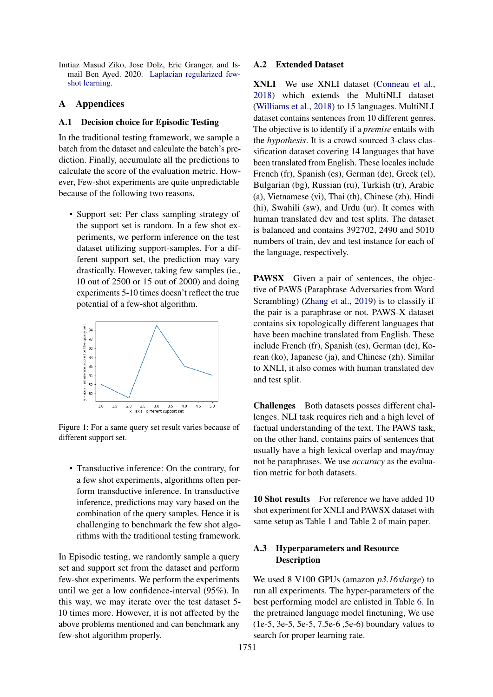<span id="page-6-0"></span>Imtiaz Masud Ziko, Jose Dolz, Eric Granger, and Ismail Ben Ayed. 2020. [Laplacian regularized few](http://arxiv.org/abs/2006.15486)[shot learning.](http://arxiv.org/abs/2006.15486)

# A Appendices

### A.1 Decision choice for Episodic Testing

In the traditional testing framework, we sample a batch from the dataset and calculate the batch's prediction. Finally, accumulate all the predictions to calculate the score of the evaluation metric. However, Few-shot experiments are quite unpredictable because of the following two reasons,

• Support set: Per class sampling strategy of the support set is random. In a few shot experiments, we perform inference on the test dataset utilizing support-samples. For a different support set, the prediction may vary drastically. However, taking few samples (ie., 10 out of 2500 or 15 out of 2000) and doing experiments 5-10 times doesn't reflect the true potential of a few-shot algorithm.



Figure 1: For a same query set result varies because of different support set.

• Transductive inference: On the contrary, for a few shot experiments, algorithms often perform transductive inference. In transductive inference, predictions may vary based on the combination of the query samples. Hence it is challenging to benchmark the few shot algorithms with the traditional testing framework.

In Episodic testing, we randomly sample a query set and support set from the dataset and perform few-shot experiments. We perform the experiments until we get a low confidence-interval (95%). In this way, we may iterate over the test dataset 5- 10 times more. However, it is not affected by the above problems mentioned and can benchmark any few-shot algorithm properly.

### A.2 Extended Dataset

XNLI We use XNLI dataset [\(Conneau et al.,](#page-4-20) [2018\)](#page-4-20) which extends the MultiNLI dataset [\(Williams et al.,](#page-5-20) [2018\)](#page-5-20) to 15 languages. MultiNLI dataset contains sentences from 10 different genres. The objective is to identify if a *premise* entails with the *hypothesis*. It is a crowd sourced 3-class classification dataset covering 14 languages that have been translated from English. These locales include French (fr), Spanish (es), German (de), Greek (el), Bulgarian (bg), Russian (ru), Turkish (tr), Arabic (a), Vietnamese (vi), Thai (th), Chinese (zh), Hindi (hi), Swahili (sw), and Urdu (ur). It comes with human translated dev and test splits. The dataset is balanced and contains 392702, 2490 and 5010 numbers of train, dev and test instance for each of the language, respectively.

PAWSX Given a pair of sentences, the objective of PAWS (Paraphrase Adversaries from Word Scrambling) [\(Zhang et al.,](#page-5-21) [2019\)](#page-5-21) is to classify if the pair is a paraphrase or not. PAWS-X dataset contains six topologically different languages that have been machine translated from English. These include French (fr), Spanish (es), German (de), Korean (ko), Japanese (ja), and Chinese (zh). Similar to XNLI, it also comes with human translated dev and test split.

Challenges Both datasets posses different challenges. NLI task requires rich and a high level of factual understanding of the text. The PAWS task, on the other hand, contains pairs of sentences that usually have a high lexical overlap and may/may not be paraphrases. We use *accuracy* as the evaluation metric for both datasets.

10 Shot results For reference we have added 10 shot experiment for XNLI and PAWSX dataset with same setup as Table 1 and Table 2 of main paper.

# A.3 Hyperparameters and Resource **Description**

We used 8 V100 GPUs (amazon *p3.16xlarge*) to run all experiments. The hyper-parameters of the best performing model are enlisted in Table [6.](#page-8-1) In the pretrained language model finetuning, We use (1e-5, 3e-5, 5e-5, 7.5e-6 ,5e-6) boundary values to search for proper learning rate.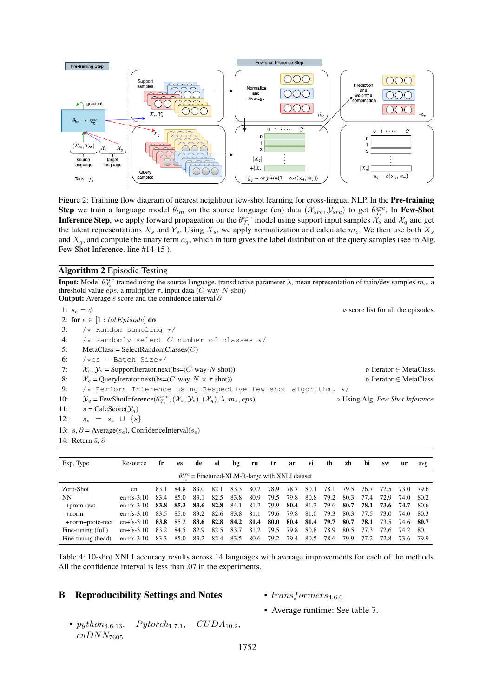

Figure 2: Training flow diagram of nearest neighbour few-shot learning for cross-lingual NLP. In the Pre-training Step we train a language model  $\theta_{lm}$  on the source language (en) data  $(\mathcal{X}_{src}, \mathcal{Y}_{src})$  to get  $\theta_{\mathcal{T}_s}^{src}$ . In Few-Shot **Inference Step**, we apply forward propagation on the  $\theta_{\tau_s}^{src}$  model using support input samples  $\hat{\mathcal{X}}_s$  and  $\hat{\mathcal{X}}_q$  and get the latent representations  $X_s$  and  $Y_s$ . Using  $X_s$ , we apply normalization and calculate  $m_c$ . We then use both  $X_s$ and  $X_q$ , and compute the unary term  $a_q$ , which in turn gives the label distribution of the query samples (see in Alg. Few Shot Inference. line #14-15 ).

### Algorithm 2 Episodic Testing

**Input:** Model  $\theta_{\tau_s}^{src}$  trained using the source language, transductive parameter  $\lambda$ , mean representation of train/dev samples  $m_s$ , a threshold value  $eps$ , a multiplier  $\tau$ , input data (C-way-N-shot)

|     | <b>Output:</b> Average $\bar{s}$ score and the confidence interval $\partial$                                                                           |                                                   |
|-----|---------------------------------------------------------------------------------------------------------------------------------------------------------|---------------------------------------------------|
|     | 1: $s_e = \phi$                                                                                                                                         | $\triangleright$ score list for all the episodes. |
|     | 2: for $e \in [1 : totEpisode]$ do                                                                                                                      |                                                   |
| 3:  | $/*$ Random sampling $*/$                                                                                                                               |                                                   |
| 4:  | /* Randomly select C number of classes */                                                                                                               |                                                   |
| 5:  | $MetaClass = SelectRandomClasses(C)$                                                                                                                    |                                                   |
| 6:  | $/\star$ bs = Batch Size $\star$ /                                                                                                                      |                                                   |
| 7:  | $\mathcal{X}_s, \mathcal{Y}_s$ = SupportIterator.next(bs=(C-way-N shot))                                                                                | $\triangleright$ Iterator $\in$ MetaClass.        |
| 8:  | $\mathcal{X}_a$ = QueryIterator.next(bs=(C-way- $N \times \tau$ shot))                                                                                  | $\triangleright$ Iterator $\in$ MetaClass.        |
| 9:  | /* Perform Inference using Respective few-shot algorithm. */                                                                                            |                                                   |
| 10: | $\mathcal{Y}_q$ = FewShotInference( $\theta_{\mathcal{T}_s}^{src}$ , $(\mathcal{X}_s, \mathcal{Y}_s)$ , $(\mathcal{X}_q)$ , $\lambda$ , $m_s$ , $eps$ ) | $\triangleright$ Using Alg. Few Shot Inference.   |
| 11: | $s = \text{CalcScore}(\mathcal{Y}_a)$                                                                                                                   |                                                   |
| 12: | $s_e = s_e \cup \{s\}$                                                                                                                                  |                                                   |
|     | 13: $\bar{s}$ , $\partial$ = Average(s <sub>e</sub> ), ConfidenceInterval(s <sub>e</sub> )                                                              |                                                   |
|     | 14: Return $\bar{s}$ , $\partial$                                                                                                                       |                                                   |

<span id="page-7-0"></span>

| Exp. Type                                                       | Resource         | fr   | <b>es</b> | de   | el   | bg   | ru        | tr             | ar   | VÌ   | th   | zh   | hi   | <b>SW</b> | ur        | avg    |
|-----------------------------------------------------------------|------------------|------|-----------|------|------|------|-----------|----------------|------|------|------|------|------|-----------|-----------|--------|
| $\theta_{\tau}^{src}$ = Finetuned-XLM-R-large with XNLI dataset |                  |      |           |      |      |      |           |                |      |      |      |      |      |           |           |        |
| Zero-Shot                                                       | en               | 83.1 | 84.8      | 83.0 | 82.1 | 83.3 | 80.2      | 78.9           | 78.7 | 80.1 | 78.1 | 79.5 | 76.7 | 72.5      | 73.O      | - 79.6 |
| NN                                                              | $en + fs - 3.10$ | 83.4 | 85.0      | 83.1 | 82.5 | 83.8 | 80.9      | 79.5           | 79.8 | 80.8 | 79.2 | 80.3 | 77.4 | 72.9      | 74.0      | 80.2   |
| +proto-rect                                                     | $en + fs - 3.10$ | 83.8 | 85.3      | 83.6 | 82.8 | 84.1 | 81.2      | 79.9           | 80.4 | 81.3 | 79.6 | 80.7 | 78.1 | 73.6      | 74.7      | -80.6  |
| $+norm$                                                         | $en + fs - 3.10$ | 83.5 | 85.0      | 83.2 | 82.6 | 83.8 | 81.1      | 79.6           | 79.8 | 81.0 | 79.3 | 80.3 | 77.5 | 73.O      | 74.0      | -80.3  |
| +norm+proto-rect                                                | $en + fs - 3.10$ | 83.8 | 85.2      | 83.6 | 82.8 |      | 84.2 81.4 | 80.0           | 80.4 | 81.4 | 79.7 | 80.7 | 78.1 | 73.5      | 74.6 80.7 |        |
| Fine-tuning (full)                                              | $en + fs - 3.10$ | 83.2 | 84.5      | 82.9 | 82.5 | 83.7 | 81.2      | 79.5           | 79.8 | 80.8 | 78.9 | 80.5 | 77.3 | 72.6      | 74.2 80.1 |        |
| Fine-tuning (head)                                              | $en + fs - 3.10$ | 83.3 | 85.0      | 83.2 | 82.4 | 83.5 |           | 80.6 79.2 79.4 |      | 80.5 | 78.6 | 79.9 | 77.2 | 72.8      | 73.6 79.9 |        |

Table 4: 10-shot XNLI accuracy results across 14 languages with average improvements for each of the methods. All the confidence interval is less than .07 in the experiments.

### B Reproducibility Settings and Notes

- $transforms_{4.6.0}$
- Average runtime: See table 7.
- python<sub>3.6.13</sub>.  $Python_{1.7.1}$ ,  $CUDA_{10.2}$ ,  $cuDNN$ 7605